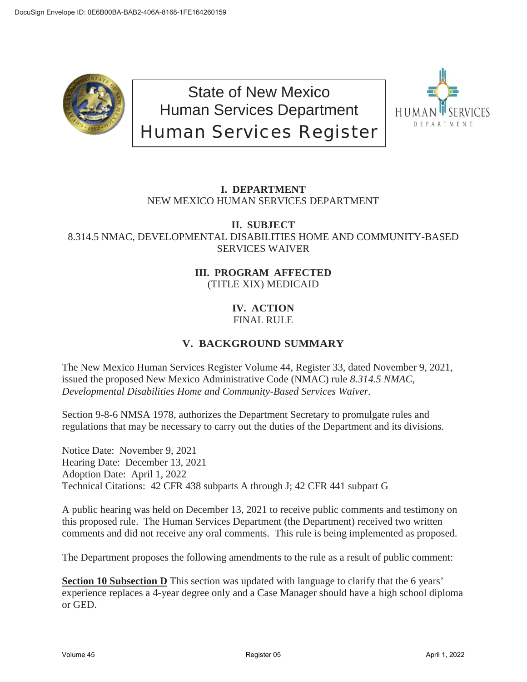

State of New Mexico Human Services Department Human Services Register



## **I. DEPARTMENT** NEW MEXICO HUMAN SERVICES DEPARTMENT

### **II. SUBJECT** 8.314.5 NMAC, DEVELOPMENTAL DISABILITIES HOME AND COMMUNITY-BASED SERVICES WAIVER

### **III. PROGRAM AFFECTED** (TITLE XIX) MEDICAID

### **IV. ACTION** FINAL RULE

# **V. BACKGROUND SUMMARY**

The New Mexico Human Services Register Volume 44, Register 33, dated November 9, 2021, issued the proposed New Mexico Administrative Code (NMAC) rule *8.314.5 NMAC, Developmental Disabilities Home and Community-Based Services Waiver.*

Section 9-8-6 NMSA 1978, authorizes the Department Secretary to promulgate rules and regulations that may be necessary to carry out the duties of the Department and its divisions.

Notice Date: November 9, 2021 Hearing Date: December 13, 2021 Adoption Date: April 1, 2022 Technical Citations: 42 CFR 438 subparts A through J; 42 CFR 441 subpart G

A public hearing was held on December 13, 2021 to receive public comments and testimony on this proposed rule. The Human Services Department (the Department) received two written comments and did not receive any oral comments. This rule is being implemented as proposed.

The Department proposes the following amendments to the rule as a result of public comment:

**Section 10 Subsection D** This section was updated with language to clarify that the 6 years' experience replaces a 4-year degree only and a Case Manager should have a high school diploma or GED.